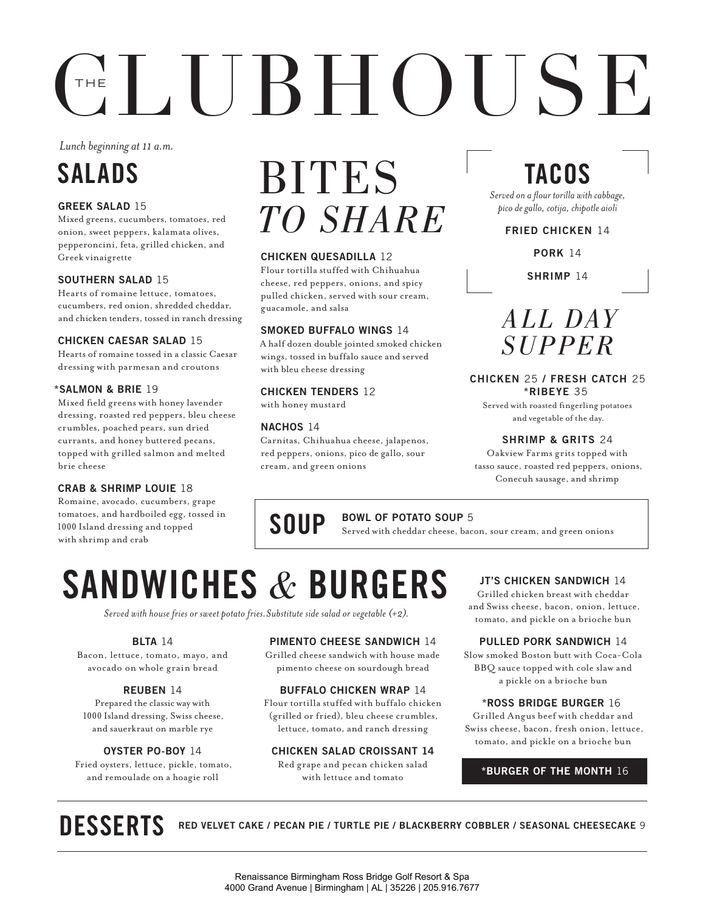# $CH(100)$

*Lunch beginning at 11 a.m.* 

### SALADS

#### GREEK SALAD 15

Mixed greens, cucumbers, tomatoes, red onion, sweet peppers, kalamata olives, pepperoncini, feta, grilled chicken, and Greek vinaigrette

#### SOUTHERN SALAD 15

Hearts of romaine lettuce, tomatoes, cucumbers, red onion, shredded cheddar, and chicken tenders, tossed in ranch dressing

#### CHICKEN CAESAR SALAD 15

Hearts of romaine tossed in a classic Caesar dressing with parmesan and croutons

#### \*SALMON & BRIE 19

Mixed feld greens with honey lavender dressing, roasted red peppers, bleu cheese crumbles, poached pears, sun dried currants, and honey buttered pecans, topped with grilled salmon and melted brie cheese

#### CRAB & SHRIMP LOUIE 18

Romaine, avocado, cucumbers, grape tomatoes, and hardboiled egg, tossed in 1000 Island dressing and topped with shrimp and crab

# BITES *TO SHARE*

#### CHICKEN QUESADILLA 12

Flour tortilla stuffed with Chihuahua cheese, red peppers, onions, and spicy pulled chicken, served with sour cream, guacamole, and salsa

#### SMOKED BUFFALO WINGS 14

A half dozen double jointed smoked chicken wings, tossed in buffalo sauce and served with bleu cheese dressing

#### CHICKEN TENDERS 12

with honey mustard

#### NACHOS 14

Carnitas, Chihuahua cheese, jalapenos, red peppers, onions, pico de gallo, sour cream, and green onions

### TACOS

*Served on a four torilla with cabbage, pico de gallo, cotija, chipotle aioli* 

#### FRIED CHICKEN 14

PORK 14

SHRIMP 14

### *AL L DAY SUPPER*

#### CHICKEN 25 / FRESH CATCH 25 \*RIBEYE 35

Served with roasted fngerling potatoes and vegetable of the day.

#### SHRIMP & GRITS 24

Oakview Farms grits topped with tasso sauce, roasted red peppers, onions, Conecuh sausage, and shrimp

#### BOWL OF POTATO SOUP 5

**SOUP** BOWL OF POTATO SOUP 5<br>Served with cheddar cheese, bacon, sour cream, and green onions

## SANDWICHES *&* BURGERS

*Served with house fries or sweet potato fries.Substitute side salad or vegetable (+2).* 

#### BLTA 14

Bacon, lettuce, tomato, mayo, and avocado on whole grain bread

#### REUBEN 14

 1000 Island dressing, Swiss cheese, Prepared the classic way with and sauerkraut on marble rye

#### OYSTER PO-BOY 14

Fried oysters, lettuce, pickle, tomato, and remoulade on a hoagie roll

#### PIMENTO CHEESE SANDWICH 14

Grilled cheese sandwich with house made pimento cheese on sourdough bread

#### BUFFALO CHICKEN WRAP 14

Flour tortilla stuffed with buffalo chicken (grilled or fried), bleu cheese crumbles, lettuce, tomato, and ranch dressing

#### CHICKEN SALAD CROISSANT 14

Red grape and pecan chicken salad with lettuce and tomato

#### JT'S CHICKEN SANDWICH 14

Grilled chicken breast with cheddar and Swiss cheese, bacon, onion, lettuce, tomato, and pickle on a brioche bun

#### PULLED PORK SANDWICH 14

Slow smoked Boston butt with Coca-Cola BBQ sauce topped with cole slaw and a pickle on a brioche bun

#### \*ROSS BRIDGE BURGER 16

Grilled Angus beef with cheddar and Swiss cheese, bacon, fresh onion, lettuce, tomato, and pickle on a brioche bun

\*BURGER OF THE MONTH 16

DESSERTS RED VELVET CAKE / PECAN PIE / TURTLE PIE / BLACKBERRY COBBLER / SEASONAL CHEESECAKE 9